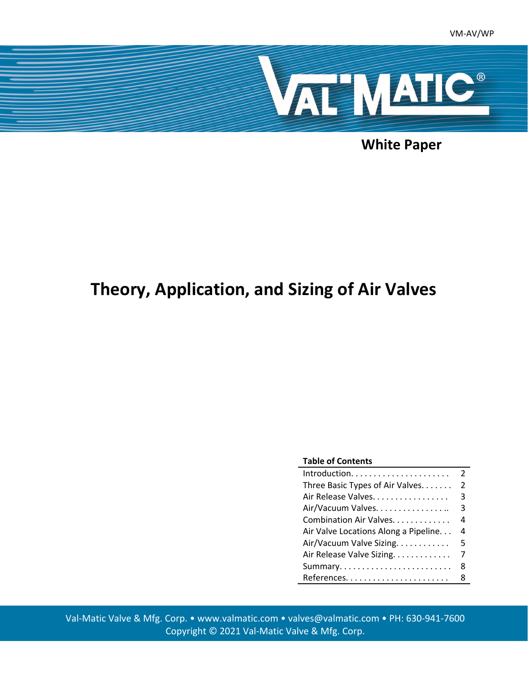

**White Paper**

# **Theory, Application, and Sizing of Air Valves**

#### **Table of Contents**

|                                      | $\mathcal{P}$ |
|--------------------------------------|---------------|
| Three Basic Types of Air Valves.     | $\mathcal{P}$ |
| Air Release Valves.                  | 3             |
| Air/Vacuum Valves.                   | 3             |
| Combination Air Valves.              | 4             |
| Air Valve Locations Along a Pipeline | 4             |
| Air/Vacuum Valve Sizing.             | 5             |
| Air Release Valve Sizing.            | 7             |
|                                      | 8             |
|                                      | 8             |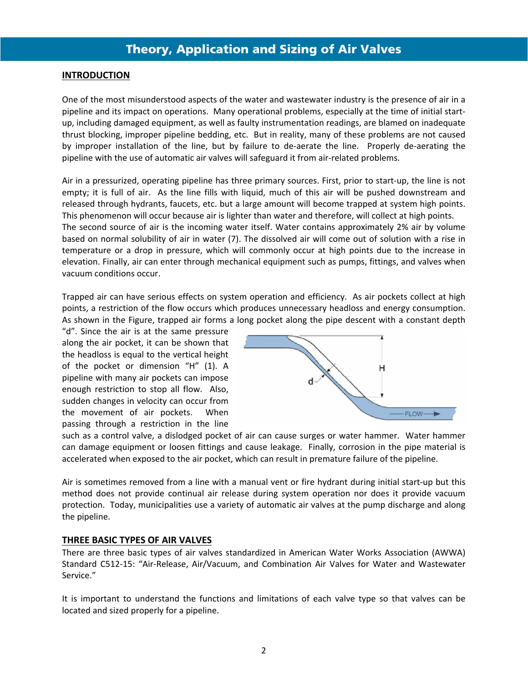### **INTRODUCTION**

One of the most misunderstood aspects of the water and wastewater industry is the presence of air in a pipeline and its impact on operations. Many operational problems, especially at the time of initial start‐ up, including damaged equipment, as well as faulty instrumentation readings, are blamed on inadequate thrust blocking, improper pipeline bedding, etc. But in reality, many of these problems are not caused by improper installation of the line, but by failure to de-aerate the line. Properly de-aerating the pipeline with the use of automatic air valves will safeguard it from air‐related problems.

Air in a pressurized, operating pipeline has three primary sources. First, prior to start‐up, the line is not empty; it is full of air. As the line fills with liquid, much of this air will be pushed downstream and released through hydrants, faucets, etc. but a large amount will become trapped at system high points. This phenomenon will occur because air is lighter than water and therefore, will collect at high points. The second source of air is the incoming water itself. Water contains approximately 2% air by volume based on normal solubility of air in water (7). The dissolved air will come out of solution with a rise in temperature or a drop in pressure, which will commonly occur at high points due to the increase in elevation. Finally, air can enter through mechanical equipment such as pumps, fittings, and valves when vacuum conditions occur.

Trapped air can have serious effects on system operation and efficiency. As air pockets collect at high points, a restriction of the flow occurs which produces unnecessary headloss and energy consumption. As shown in the Figure, trapped air forms a long pocket along the pipe descent with a constant depth

"d". Since the air is at the same pressure along the air pocket, it can be shown that the headloss is equal to the vertical height of the pocket or dimension "H" (1). A pipeline with many air pockets can impose enough restriction to stop all flow. Also, sudden changes in velocity can occur from the movement of air pockets. When passing through a restriction in the line



such as a control valve, a dislodged pocket of air can cause surges or water hammer. Water hammer can damage equipment or loosen fittings and cause leakage. Finally, corrosion in the pipe material is accelerated when exposed to the air pocket, which can result in premature failure of the pipeline.

Air is sometimes removed from a line with a manual vent or fire hydrant during initial start‐up but this method does not provide continual air release during system operation nor does it provide vacuum protection. Today, municipalities use a variety of automatic air valves at the pump discharge and along the pipeline.

### **THREE BASIC TYPES OF AIR VALVES**

There are three basic types of air valves standardized in American Water Works Association (AWWA) Standard C512‐15: "Air‐Release, Air/Vacuum, and Combination Air Valves for Water and Wastewater Service."

It is important to understand the functions and limitations of each valve type so that valves can be located and sized properly for a pipeline.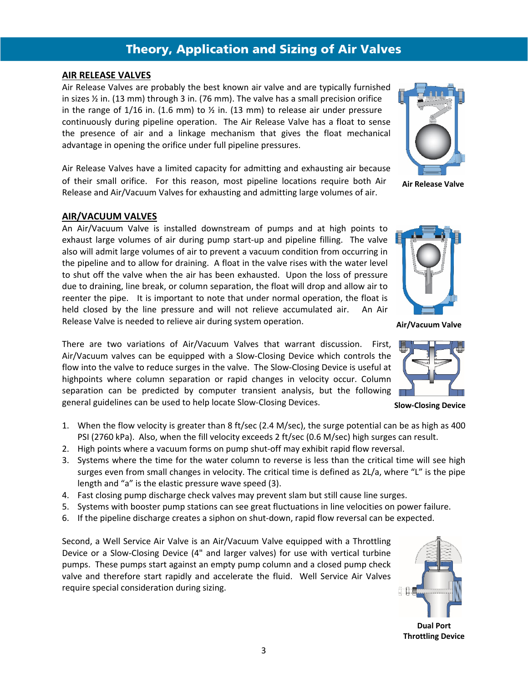#### **AIR RELEASE VALVES**

Air Release Valves are probably the best known air valve and are typically furnished in sizes ½ in. (13 mm) through 3 in. (76 mm). The valve has a small precision orifice in the range of  $1/16$  in. (1.6 mm) to  $\frac{1}{2}$  in. (13 mm) to release air under pressure continuously during pipeline operation. The Air Release Valve has a float to sense the presence of air and a linkage mechanism that gives the float mechanical advantage in opening the orifice under full pipeline pressures.

Air Release Valves have a limited capacity for admitting and exhausting air because of their small orifice. For this reason, most pipeline locations require both Air Release and Air/Vacuum Valves for exhausting and admitting large volumes of air.

#### **AIR/VACUUM VALVES**

An Air/Vacuum Valve is installed downstream of pumps and at high points to exhaust large volumes of air during pump start-up and pipeline filling. The valve also will admit large volumes of air to prevent a vacuum condition from occurring in the pipeline and to allow for draining. A float in the valve rises with the water level to shut off the valve when the air has been exhausted. Upon the loss of pressure due to draining, line break, or column separation, the float will drop and allow air to reenter the pipe. It is important to note that under normal operation, the float is held closed by the line pressure and will not relieve accumulated air. An Air Release Valve is needed to relieve air during system operation.

There are two variations of Air/Vacuum Valves that warrant discussion. First, Air/Vacuum valves can be equipped with a Slow‐Closing Device which controls the flow into the valve to reduce surges in the valve. The Slow-Closing Device is useful at highpoints where column separation or rapid changes in velocity occur. Column separation can be predicted by computer transient analysis, but the following general guidelines can be used to help locate Slow‐Closing Devices.

- 1. When the flow velocity is greater than 8 ft/sec (2.4 M/sec), the surge potential can be as high as 400 PSI (2760 kPa). Also, when the fill velocity exceeds 2 ft/sec (0.6 M/sec) high surges can result.
- 2. High points where a vacuum forms on pump shut‐off may exhibit rapid flow reversal.
- 3. Systems where the time for the water column to reverse is less than the critical time will see high surges even from small changes in velocity. The critical time is defined as 2L/a, where "L" is the pipe length and "a" is the elastic pressure wave speed (3).
- 4. Fast closing pump discharge check valves may prevent slam but still cause line surges.
- 5. Systems with booster pump stations can see great fluctuations in line velocities on power failure.
- 6. If the pipeline discharge creates a siphon on shut‐down, rapid flow reversal can be expected.

Second, a Well Service Air Valve is an Air/Vacuum Valve equipped with a Throttling Device or a Slow‐Closing Device (4" and larger valves) for use with vertical turbine pumps. These pumps start against an empty pump column and a closed pump check valve and therefore start rapidly and accelerate the fluid. Well Service Air Valves require special consideration during sizing.

**Dual Port Throttling Device**



**Air Release Valve**





**Slow‐Closing Device**

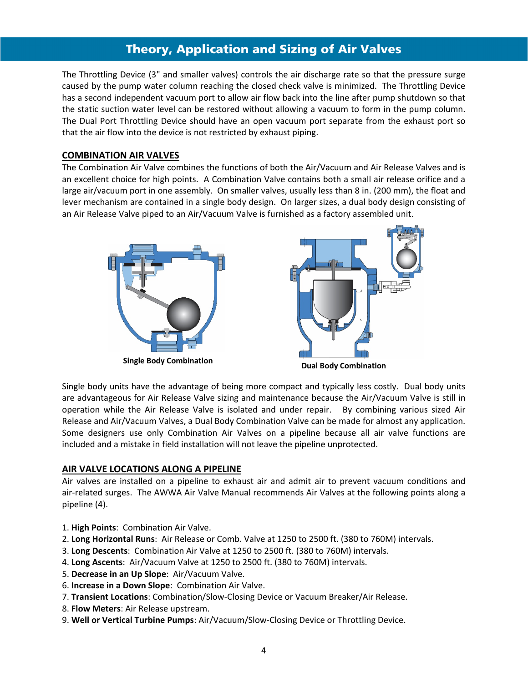The Throttling Device (3" and smaller valves) controls the air discharge rate so that the pressure surge caused by the pump water column reaching the closed check valve is minimized. The Throttling Device has a second independent vacuum port to allow air flow back into the line after pump shutdown so that the static suction water level can be restored without allowing a vacuum to form in the pump column. The Dual Port Throttling Device should have an open vacuum port separate from the exhaust port so that the air flow into the device is not restricted by exhaust piping.

### **COMBINATION AIR VALVES**

The Combination Air Valve combines the functions of both the Air/Vacuum and Air Release Valves and is an excellent choice for high points. A Combination Valve contains both a small air release orifice and a large air/vacuum port in one assembly. On smaller valves, usually less than 8 in. (200 mm), the float and lever mechanism are contained in a single body design. On larger sizes, a dual body design consisting of an Air Release Valve piped to an Air/Vacuum Valve is furnished as a factory assembled unit.





**Dual Body Combination**

Single body units have the advantage of being more compact and typically less costly. Dual body units are advantageous for Air Release Valve sizing and maintenance because the Air/Vacuum Valve is still in operation while the Air Release Valve is isolated and under repair. By combining various sized Air Release and Air/Vacuum Valves, a Dual Body Combination Valve can be made for almost any application. Some designers use only Combination Air Valves on a pipeline because all air valve functions are included and a mistake in field installation will not leave the pipeline unprotected. 

### **AIR VALVE LOCATIONS ALONG A PIPELINE**

Air valves are installed on a pipeline to exhaust air and admit air to prevent vacuum conditions and air-related surges. The AWWA Air Valve Manual recommends Air Valves at the following points along a pipeline (4).

- 1. **High Points**: Combination Air Valve.
- 2. **Long Horizontal Runs**: Air Release or Comb. Valve at 1250 to 2500 ft. (380 to 760M) intervals.
- 3. **Long Descents**: Combination Air Valve at 1250 to 2500 ft. (380 to 760M) intervals.
- 4. **Long Ascents**: Air/Vacuum Valve at 1250 to 2500 ft. (380 to 760M) intervals.
- 5. **Decrease in an Up Slope**: Air/Vacuum Valve.
- 6. **Increase in a Down Slope**: Combination Air Valve.
- 7. **Transient Locations**: Combination/Slow‐Closing Device or Vacuum Breaker/Air Release.
- 8. **Flow Meters**: Air Release upstream.
- 9. **Well or Vertical Turbine Pumps**: Air/Vacuum/Slow‐Closing Device or Throttling Device.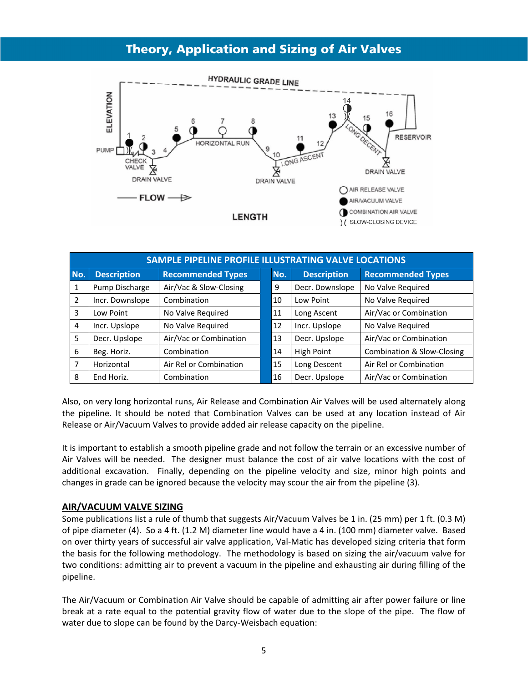

| SAMPLE PIPELINE PROFILE ILLUSTRATING VALVE LOCATIONS |                    |                          |     |                    |                                       |  |  |  |  |  |
|------------------------------------------------------|--------------------|--------------------------|-----|--------------------|---------------------------------------|--|--|--|--|--|
| No.                                                  | <b>Description</b> | <b>Recommended Types</b> | No. | <b>Description</b> | <b>Recommended Types</b>              |  |  |  |  |  |
| 1                                                    | Pump Discharge     | Air/Vac & Slow-Closing   | 9   | Decr. Downslope    | No Valve Required                     |  |  |  |  |  |
| 2                                                    | Incr. Downslope    | Combination              | 10  | Low Point          | No Valve Required                     |  |  |  |  |  |
| 3                                                    | Low Point          | No Valve Required        | 11  | Long Ascent        | Air/Vac or Combination                |  |  |  |  |  |
| $\overline{4}$                                       | Incr. Upslope      | No Valve Required        | 12  | Incr. Upslope      | No Valve Required                     |  |  |  |  |  |
| 5                                                    | Decr. Upslope      | Air/Vac or Combination   | 13  | Decr. Upslope      | Air/Vac or Combination                |  |  |  |  |  |
| 6                                                    | Beg. Horiz.        | Combination              | 14  | <b>High Point</b>  | <b>Combination &amp; Slow-Closing</b> |  |  |  |  |  |
| 7                                                    | Horizontal         | Air Rel or Combination   | 15  | Long Descent       | Air Rel or Combination                |  |  |  |  |  |
| 8                                                    | End Horiz.         | Combination              | 16  | Decr. Upslope      | Air/Vac or Combination                |  |  |  |  |  |

Also, on very long horizontal runs, Air Release and Combination Air Valves will be used alternately along the pipeline. It should be noted that Combination Valves can be used at any location instead of Air Release or Air/Vacuum Valves to provide added air release capacity on the pipeline.

It is important to establish a smooth pipeline grade and not follow the terrain or an excessive number of Air Valves will be needed. The designer must balance the cost of air valve locations with the cost of additional excavation. Finally, depending on the pipeline velocity and size, minor high points and changes in grade can be ignored because the velocity may scour the air from the pipeline (3).

### **AIR/VACUUM VALVE SIZING**

Some publications list a rule of thumb that suggests Air/Vacuum Valves be 1 in. (25 mm) per 1 ft. (0.3 M) of pipe diameter (4). So a 4 ft. (1.2 M) diameter line would have a 4 in. (100 mm) diameter valve. Based on over thirty years of successful air valve application, Val‐Matic has developed sizing criteria that form the basis for the following methodology. The methodology is based on sizing the air/vacuum valve for two conditions: admitting air to prevent a vacuum in the pipeline and exhausting air during filling of the pipeline.

The Air/Vacuum or Combination Air Valve should be capable of admitting air after power failure or line break at a rate equal to the potential gravity flow of water due to the slope of the pipe. The flow of water due to slope can be found by the Darcy-Weisbach equation: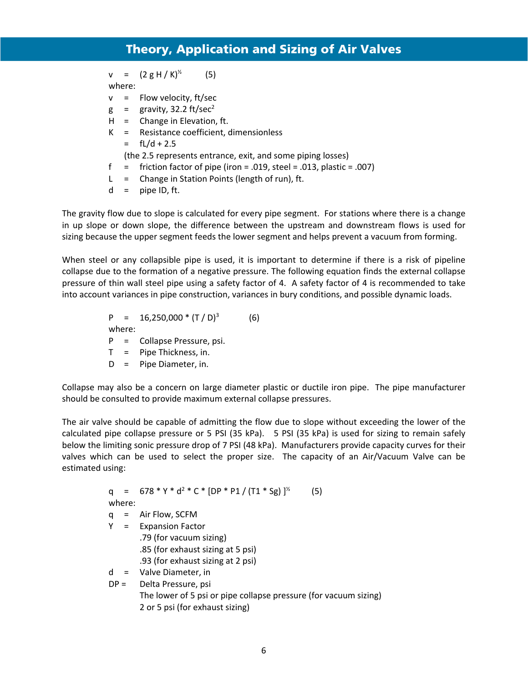$v = (2 g H / K)^{1/2}$  (5)

where:

- $v =$  Flow velocity, ft/sec
- $g =$  gravity, 32.2 ft/sec<sup>2</sup>
- $H =$  Change in Elevation, ft.
- K = Resistance coefficient, dimensionless
	- $=$  fL/d + 2.5
	- (the 2.5 represents entrance, exit, and some piping losses)
- f = friction factor of pipe (iron = .019, steel = .013, plastic = .007)
- L = Change in Station Points (length of run), ft.
- $d =$  pipe ID, ft.

The gravity flow due to slope is calculated for every pipe segment. For stations where there is a change in up slope or down slope, the difference between the upstream and downstream flows is used for sizing because the upper segment feeds the lower segment and helps prevent a vacuum from forming.

When steel or any collapsible pipe is used, it is important to determine if there is a risk of pipeline collapse due to the formation of a negative pressure. The following equation finds the external collapse pressure of thin wall steel pipe using a safety factor of 4. A safety factor of 4 is recommended to take into account variances in pipe construction, variances in bury conditions, and possible dynamic loads.

> $P = 16,250,000*(T/D)^3$  (6) where: P = Collapse Pressure, psi. T = Pipe Thickness, in. D = Pipe Diameter, in.

Collapse may also be a concern on large diameter plastic or ductile iron pipe. The pipe manufacturer should be consulted to provide maximum external collapse pressures.

The air valve should be capable of admitting the flow due to slope without exceeding the lower of the calculated pipe collapse pressure or 5 PSI (35 kPa). 5 PSI (35 kPa) is used for sizing to remain safely below the limiting sonic pressure drop of 7 PSI (48 kPa). Manufacturers provide capacity curves for their valves which can be used to select the proper size. The capacity of an Air/Vacuum Valve can be estimated using:

> q = 678 \* Y \* d<sup>2</sup> \* C \* [DP \* P1 / (T1 \* Sg) ]<sup>%</sup>  $(5)$  where:  $q =$  Air Flow, SCFM Y = Expansion Factor .79 (for vacuum sizing) .85 (for exhaust sizing at 5 psi) .93 (for exhaust sizing at 2 psi) d = Valve Diameter, in DP = Delta Pressure, psi The lower of 5 psi or pipe collapse pressure (for vacuum sizing) 2 or 5 psi (for exhaust sizing)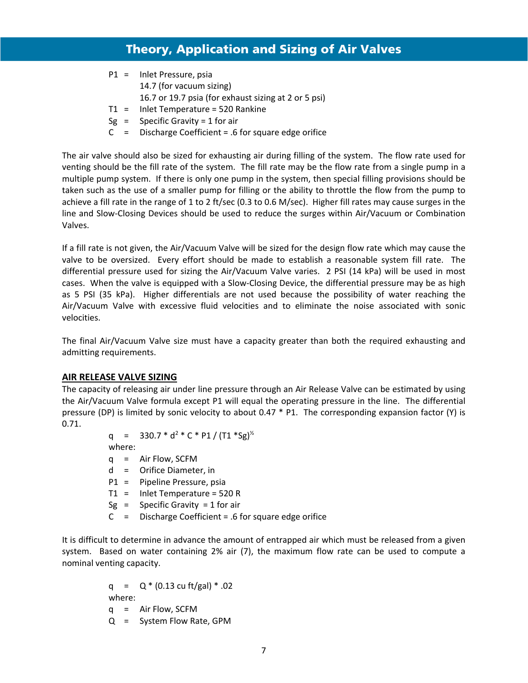- P1 = Inlet Pressure, psia 14.7 (for vacuum sizing) 16.7 or 19.7 psia (for exhaust sizing at 2 or 5 psi) T1 = Inlet Temperature = 520 Rankine  $Sg =$  Specific Gravity = 1 for air
- $C =$  Discharge Coefficient = .6 for square edge orifice

The air valve should also be sized for exhausting air during filling of the system. The flow rate used for venting should be the fill rate of the system. The fill rate may be the flow rate from a single pump in a multiple pump system. If there is only one pump in the system, then special filling provisions should be taken such as the use of a smaller pump for filling or the ability to throttle the flow from the pump to achieve a fill rate in the range of 1 to 2 ft/sec (0.3 to 0.6 M/sec). Higher fill rates may cause surges in the line and Slow‐Closing Devices should be used to reduce the surges within Air/Vacuum or Combination Valves.

If a fill rate is not given, the Air/Vacuum Valve will be sized for the design flow rate which may cause the valve to be oversized. Every effort should be made to establish a reasonable system fill rate. The differential pressure used for sizing the Air/Vacuum Valve varies. 2 PSI (14 kPa) will be used in most cases. When the valve is equipped with a Slow‐Closing Device, the differential pressure may be as high as 5 PSI (35 kPa). Higher differentials are not used because the possibility of water reaching the Air/Vacuum Valve with excessive fluid velocities and to eliminate the noise associated with sonic velocities.

The final Air/Vacuum Valve size must have a capacity greater than both the required exhausting and admitting requirements.

### **AIR RELEASE VALVE SIZING**

The capacity of releasing air under line pressure through an Air Release Valve can be estimated by using the Air/Vacuum Valve formula except P1 will equal the operating pressure in the line. The differential pressure (DP) is limited by sonic velocity to about 0.47 \* P1. The corresponding expansion factor (Y) is 0.71.

> q =  $330.7 * d^2 * C * P1 / (T1 * Sg)^{1/2}$ where:

- q = Air Flow, SCFM
- d = Orifice Diameter, in
- P1 = Pipeline Pressure, psia
- T1 = Inlet Temperature = 520 R
- $Sg =$  Specific Gravity = 1 for air
- C = Discharge Coefficient = .6 for square edge orifice

It is difficult to determine in advance the amount of entrapped air which must be released from a given system. Based on water containing 2% air (7), the maximum flow rate can be used to compute a nominal venting capacity.

> q =  $Q * (0.13 \text{ cu ft/gal}) * .02$  where: q = Air Flow, SCFM Q = System Flow Rate, GPM